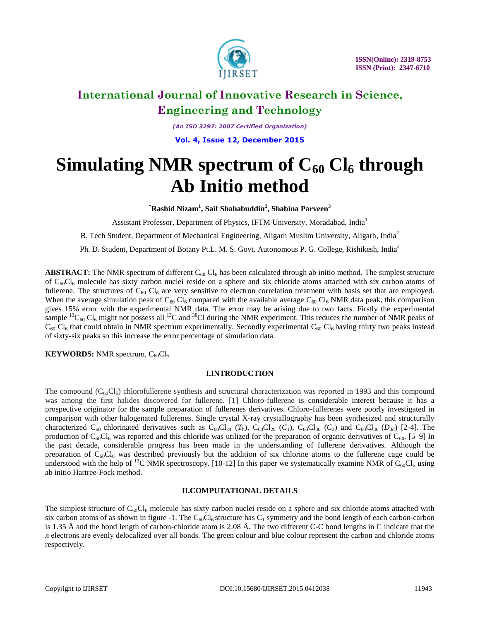

*(An ISO 3297: 2007 Certified Organization)*

**Vol. 4, Issue 12, December 2015**

# **Simulating NMR spectrum of**  $C_{60}$  $Cl_6$  **through Ab Initio method**

**\*Rashid Nizam<sup>1</sup> , Saif Shahabuddin<sup>2</sup> , Shabina Parveen<sup>3</sup>**

Assistant Professor, Department of Physics, IFTM University, Moradabad, India<sup>1</sup>

B. Tech Student, Department of Mechanical Engineering, Aligarh Muslim University, Aligarh, India<sup>2</sup>

Ph. D. Student, Department of Botany Pt.L. M. S. Govt. Autonomous P. G. College, Rishikesh, India<sup>3</sup>

**ABSTRACT:** The NMR spectrum of different  $C_{60}$  Cl<sub>6</sub> has been calculated through ab initio method. The simplest structure of  $C_{60}Cl_6$  molecule has sixty carbon nuclei reside on a sphere and six chloride atoms attached with six carbon atoms of fullerene. The structures of  $C_{60}$  Cl<sub>6</sub> are very sensitive to electron correlation treatment with basis set that are employed. When the average simulation peak of  $C_{60}$  Cl<sub>6</sub> compared with the available average  $C_{60}$  Cl<sub>6</sub> NMR data peak, this comparison gives 15% error with the experimental NMR data. The error may be arising due to two facts. Firstly the experimental sample  ${}^{13}C_{60}$  Cl<sub>6</sub> might not possess all  ${}^{13}C$  and  ${}^{38}C$ l during the NMR experiment. This reduces the number of NMR peaks of  $C_{60}$  Cl<sub>6</sub> that could obtain in NMR spectrum experimentally. Secondly experimental  $C_{60}$  Cl<sub>6</sub> having thirty two peaks instead of sixty-six peaks so this increase the error percentage of simulation data.

**KEYWORDS:** NMR spectrum,  $C_{60}Cl_6$ 

## **I.INTRODUCTION**

The compound  $(C_{60}Cl_6)$  chlorofullerene synthesis and structural characterization was reported in 1993 and this compound was among the first halides discovered for fullerene. [1] Chloro-fullerene is considerable interest because it has a prospective originator for the sample preparation of fullerenes derivatives. Chloro-fullerenes were poorly investigated in comparison with other halogenated fullerenes. Single crystal X-ray crystallography has been synthesized and structurally characterized C<sub>60</sub> chlorinated derivatives such as C<sub>60</sub>Cl<sub>24</sub> ( $T<sub>h</sub>$ ), C<sub>60</sub>Cl<sub>28</sub> ( $C<sub>1</sub>$ ), C<sub>60</sub>Cl<sub>30</sub> ( $C<sub>2</sub>$ ) and C<sub>60</sub>Cl<sub>30</sub> ( $D<sub>3d</sub>$ ) [2-4]. The production of  $C_{60}C_{16}$  was reported and this chloride was utilized for the preparation of organic derivatives of  $C_{60}$ . [5–9] In the past decade, considerable progress has been made in the understanding of fullerene derivatives. Although the preparation of  $C_{60}Cl_6$  was described previously but the addition of six chlorine atoms to the fullerene cage could be understood with the help of <sup>13</sup>C NMR spectroscopy. [10-12] In this paper we systematically examine NMR of C<sub>60</sub>Cl<sub>6</sub> using ab initio Hartree-Fock method.

## **II.COMPUTATIONAL DETAILS**

The simplest structure of  $C_{60}Cl_6$  molecule has sixty carbon nuclei reside on a sphere and six chloride atoms attached with six carbon atoms of as shown in figure -1. The  $C_{60}Cl_6$  structure has  $C_1$  symmetry and the bond length of each carbon-carbon is 1.35 Å and the bond length of carbon-chloride atom is 2.08 Å. The two different C-C bond lengths in C indicate that the л electrons are evenly delocalized over all bonds. The green colour and blue colour represent the carbon and chloride atoms respectively.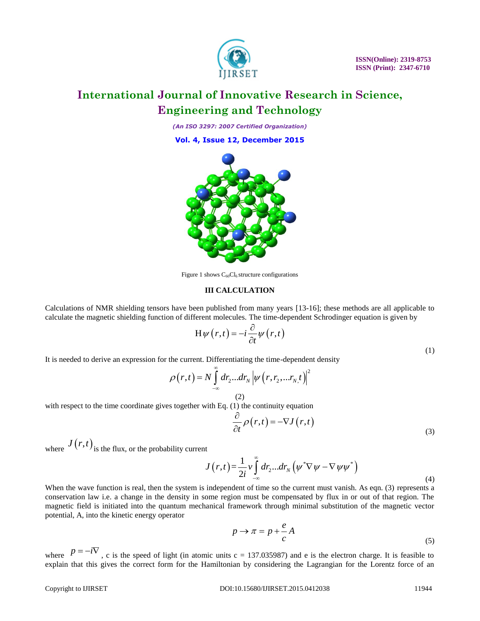

*(An ISO 3297: 2007 Certified Organization)*

**Vol. 4, Issue 12, December 2015**



Figure 1 shows  $C_{60}Cl_6$  structure configurations

## **III CALCULATION**

Calculations of NMR shielding tensors have been published from many years [13-16]; these methods are all applicable to calculate the magnetic shielding function of different molecules. The time-dependent Schrodinger equation is given by

$$
H\psi(r,t) = -i\frac{\partial}{\partial t}\psi(r,t)
$$

It is needed to derive an expression for the current. Differentiating the time-dependent density  
\n
$$
\rho(r,t) = N \int_{-\infty}^{\infty} dr_2...dr_N \left| \psi(r,r_2,...r_N,t) \right|^2
$$
\n(2)

with respect to the time coordinate gives together with Eq. (1) the continuity equation

$$
\frac{\partial}{\partial t} \rho(r,t) = -\nabla J(r,t)
$$
\n(3)

where  $J(r,t)$  is the flux, or the probability current

$$
J(r,t) = \frac{1}{2i}v\int_{-\infty}^{\infty} dr_2...dr_N(\psi^*\nabla\psi - \nabla\psi\psi^*)
$$
\n(4)

When the wave function is real, then the system is independent of time so the current must vanish. As eqn. (3) represents a conservation law i.e. a change in the density in some region must be compensated by flux in or out of that region. The magnetic field is initiated into the quantum mechanical framework through minimal substitution of the magnetic vector potential, A, into the kinetic energy operator

$$
p \to \pi = p + \frac{e}{c}A\tag{5}
$$

where  $P = -i\nabla$ , c is the speed of light (in atomic units c = 137.035987) and e is the electron charge. It is feasible to explain that this gives the correct form for the Hamiltonian by considering the Lagrangian for the Lorentz force of an

(1)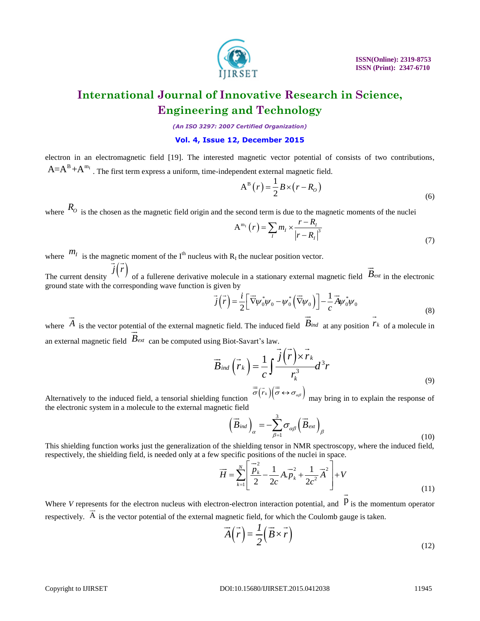

*(An ISO 3297: 2007 Certified Organization)*

### **Vol. 4, Issue 12, December 2015**

electron in an electromagnetic field [19]. The interested magnetic vector potential of consists of two contributions,  $A = A^B + A^{m_I}$ . The first term express a uniform, time-independent external magnetic field.

$$
A^{B}(r) = \frac{1}{2}B \times (r - R_{o})
$$
\n(6)

where  $R_0$  is the chosen as the magnetic field origin and the second term is due to the magnetic moments of the nuclei

$$
A^{m_1}(r) = \sum_{l} m_l \times \frac{r - R_l}{|r - R_l|^3}
$$
(7)

where  $m_I$  is the magnetic moment of the I<sup>th</sup> nucleus with R<sub>I</sub> the nuclear position vector. The current density  $j(r)$  of a fullerene derivative molecule in a stationary external magnetic field  $\vec{B}_{ext}$  in the electronic ground state with the corresponding wave function is given by gnet<br> $\rightarrow$  /  $\rightarrow$  $\rightarrow$ 

molecule in a stationary external magnetic field 
$$
-\varepsilon x
$$
 in the electronic  
given by  

$$
\vec{j}(\vec{r}) = \frac{i}{2} \left[ \vec{\nabla} \psi_0^* \psi_0 - \psi_0^* \left( \vec{\nabla} \psi_0 \right) \right] - \frac{1}{c} \vec{A} \psi_0^* \psi_0
$$
(8)

where  $\hat{A}$  is the vector potential of the external magnetic field. The induced field  $\hat{B}_{ind}$  at any position  $r_k$  of a molecule in an external magnetic field  $B_{ext}$  can be computed using Biot-Savart's law.  $\rightarrow$ *Bind rk* nı<br>→  $\frac{1}{\sqrt{1-\frac{1}{\sqrt{1-\frac{1}{\sqrt{1-\frac{1}{\sqrt{1-\frac{1}{\sqrt{1-\frac{1}{\sqrt{1-\frac{1}{\sqrt{1-\frac{1}{\sqrt{1-\frac{1}{\sqrt{1-\frac{1}{\sqrt{1-\frac{1}{\sqrt{1-\frac{1}{\sqrt{1-\frac{1}{\sqrt{1-\frac{1}{\sqrt{1-\frac{1}{\sqrt{1-\frac{1}{\sqrt{1-\frac{1}{\sqrt{1-\frac{1}{\sqrt{1-\frac{1}{\sqrt{1-\frac{1}{\sqrt{1-\frac{1}{\sqrt{1-\frac{1}{\sqrt{1-\frac{1}{\sqrt{1-\frac{1}{\sqrt{1-\frac{1$ 

$$
\vec{B}_{ind}(\vec{r}_k) = \frac{1}{c} \int \frac{\vec{j}(\vec{r}) \times \vec{r}_k}{r_k^3} d^3r
$$
\n
$$
= c_1 \sqrt{r} \tag{9}
$$

Alternatively to the induced field, a tensorial shielding function  $\overline{\sigma}(\overline{r}_k)(\overline{\sigma} \leftrightarrow \sigma_{\alpha\beta})$  may bring in to explain the response of the electronic system in a molecule to the external magnetic field

c field  
\n
$$
\left(\vec{B}_{ind}\right)_{\alpha} = -\sum_{\beta=1}^{3} \sigma_{\alpha\beta} \left(\vec{B}_{ext}\right)_{\beta}
$$
\n(10)

This shielding function works just the generalization of the shielding tensor in NMR spectroscopy, where the induced field, respectively, the shielding field, is needed only at a few specific positions of the nuclei in space.<br>  $\vec{H} = \sum_{k=1}^{N} \left[ \frac{\vec{p}_k^2}{\vec{p}_k} - \frac{1}{2} A \vec{p}_k^2 + \frac{1}{2} A \vec{q}_k^2 \right] + V$ 

$$
\overrightarrow{H} = \sum_{k=1}^{N} \left[ \frac{\overrightarrow{p}_{k}}{2} - \frac{1}{2c} A \cdot \overrightarrow{p}_{k} + \frac{1}{2c^{2}} \overrightarrow{A}^{2} \right] + V
$$
\n(11)

Where *V* represents for the electron nucleus with electron-electron interaction potential, and  $\overrightarrow{p}$  is the momentum operator respectively. A is the vector potential of the external magnetic field, for which the Coulomb gauge is taken.  $\stackrel{\sim}{\rightarrow}$ 

$$
\vec{A}(\vec{r}) = \frac{1}{2} (\vec{B} \times \vec{r})
$$
\n(12)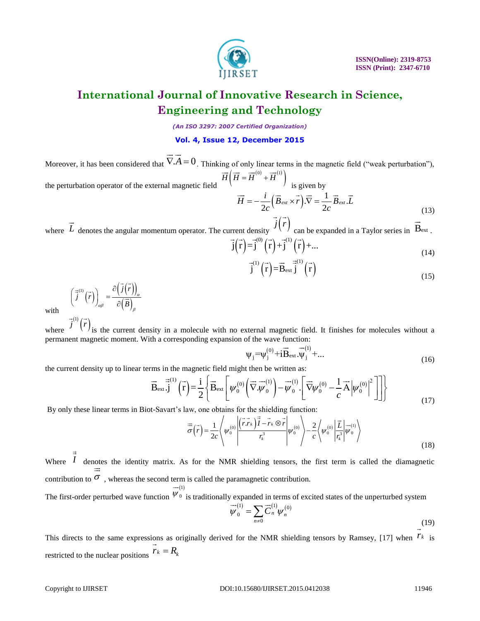

*(An ISO 3297: 2007 Certified Organization)*

## **Vol. 4, Issue 12, December 2015**

Moreover, it has been considered that  $\nabla A = 0$ . Thinking of only linear terms in the magnetic field ("weak perturbation"), the perturbation operator of the external magnetic field  $\rightarrow$   $\rightarrow$  $\left(\overrightarrow{H}=\overrightarrow{H}^{(0)}+\overrightarrow{H}^{(1)}\right)^{2}$  $\overrightarrow{H}$  $\left(\overrightarrow{H} = \overrightarrow{H}^{(0)} + \overrightarrow{H}^{(1)}\right)$  $\frac{1}{2}$  =  $\frac{1}{2}$  =  $\frac{1}{2}$  =  $\frac{1}{2}$  =  $\frac{1}{2}$  $\frac{1}{\sqrt{1}}$  is given by

$$
\overrightarrow{H} = -\frac{i}{2c} \left( \overrightarrow{B}_{ext} \times \overrightarrow{r} \right) . \overrightarrow{\nabla} = \frac{1}{2c} \overrightarrow{B}_{ext} . \overrightarrow{L}
$$
\n(13)

where L denotes the angular momentum operator. The current density  $\mathcal{L}(\mathcal{L})$  can be expanded in a Taylor series in  $\mathbf{B}_{\text{ext}}$ .  $\vec{I}$  *i r z i j*( $\vec{r}$ ) Bext  $\vec{j}(\vec{r}) = \vec{j}^{(0)}(\vec{r}) + \vec{j}^{(1)}(\vec{r}) + ...$ Frent density  $\left(\begin{array}{cc} 0 & \end{array}\right)$  can be

$$
j(r) = j^{(r)}(r) + j^{(r)}(r) + ...
$$
  
\n
$$
j(r) = j^{(r)}(r) + ...
$$
\n(14)

$$
\vec{j}^{(1)}(\vec{r}) = \vec{B}_{ext} \vec{j}^{(1)}(\vec{r})
$$
\n(15)

$$
\left(\vec{j}^{(1)}(\vec{r})\right)_{\alpha\beta} = \frac{\partial \left(\vec{j}(\vec{r})\right)_{\alpha}}{\partial \left(\vec{B}\right)_{\beta}}
$$

with

where  $\frac{1}{2}$   $\frac{1}{2}$  is the current density in a molecule with no external magnetic field. It finishes for molecules without a permanent magnetic moment. With a corresponding expansion of the wave function:<br> $(0) \rightarrow \vec{z} = \vec{z}$  $\vec{j}^{(1)}(\vec{r})$ 

$$
\psi_j = \psi_j^{(0)} + i \vec{B}_{ext} \cdot \vec{\psi}_j^{(1)} + \dots
$$
 (16)

the current density up to linear terms in the magnetic field might then be written as:

$$
\Psi_{j} = \Psi_{j}^{(0)} + iB_{\text{ext}}.\Psi_{j}^{(1)} + ...
$$
\n
$$
\overrightarrow{B}_{\text{ext}}.j \quad \text{(16)}
$$
\n
$$
\overrightarrow{B}_{\text{ext}} \cdot \overrightarrow{j} \quad (\overrightarrow{r}) = \frac{i}{2} \left\{ \overrightarrow{B}_{\text{ext}} \left[ \psi_{0}^{(0)} \left( \overrightarrow{\nabla} \cdot \overrightarrow{\psi}_{0}^{(1)} \right) - \overrightarrow{\psi}_{0}^{(1)} \cdot \left[ \overrightarrow{\nabla} \psi_{0}^{(0)} - \frac{1}{c} \overrightarrow{A} \left| \psi_{0}^{(0)} \right|^{2} \right] \right] \right\}
$$
\n(17)

 $(1)$ 

By only these linear terms in Biot-Savart's law, one obtains for the shielding function:  
\n
$$
\vec{\sigma}(\vec{r}) = \frac{1}{2c} \left\langle \psi_0^{(0)} \left| \frac{(\vec{r} \cdot \vec{r}_k)^{\frac{1}{2}} - \vec{r}_k \otimes \vec{r}}{r_k^3} \right| \psi_0^{(0)} \right\rangle - \frac{2}{c} \left\langle \psi_0^{(0)} \left| \frac{\vec{L}}{r_k^3} \right| \psi_0^{(1)} \right\rangle
$$
\n(18)

Where  $I$  denotes the identity matrix. As for the NMR shielding tensors, the first term is called the diamagnetic contribution to  $\sigma$ , whereas the second term is called the paramagnetic contribution.  $\Rightarrow$  $\frac{1}{1}$  $\overline{\phantom{a}}$ 

The first-order perturbed wave function  $\psi_0$  is traditionally expanded in terms of excited states of the unperturbed system  $\psi_{0}$ 

$$
\overline{\psi}_0^{(1)} = \sum_{n \neq 0} \overline{C}_n^{(1)} \psi_n^{(0)}
$$
\n(19)

This directs to the same expressions as originally derived for the NMR shielding tensors by Ramsey, [17] when  $r_k$  is restricted to the nuclear positions  $r_k = R_k$  $\frac{0}{1}$ 

### Copyright to IJIRSET 11946 **DOI:10.15680/IJIRSET.2015.0412038** 11946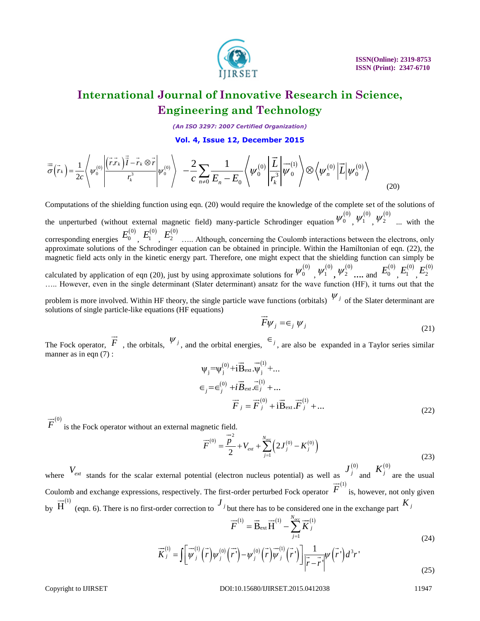

*(An ISO 3297: 2007 Certified Organization)*

**Vol. 4, Issue 12, December 2015**

$$
\overrightarrow{\sigma}(\overrightarrow{r}_{k}) = \frac{1}{2c} \left\langle \psi_{0}^{(0)} \left| \frac{(\overrightarrow{r} \cdot \overrightarrow{r}_{k}) \overrightarrow{I} - \overrightarrow{r}_{k} \otimes \overrightarrow{r}}{r_{k}^{3}} \right| \psi_{0}^{(0)} \right\rangle - \frac{2}{c} \sum_{n \neq 0} \frac{1}{E_{n} - E_{0}} \left\langle \psi_{0}^{(0)} \left| \frac{\overrightarrow{L}}{r_{k}^{3}} \right| \overrightarrow{\psi}_{0}^{(1)} \right\rangle \otimes \left\langle \psi_{n}^{(0)} \left| \overrightarrow{L} \right| \psi_{0}^{(0)} \right\rangle
$$
\n(20)

Computations of the shielding function using eqn. (20) would require the knowledge of the complete set of the solutions of the unperturbed (without external magnetic field) many-particle Schrodinger equation  $\psi_0^{(0)}$ ,  $\psi_1^{(0)}$ ,  $\psi_2^{(0)}$  ... with the corresponding energies  $L_0$ ,  $L_1$ ,  $L_2$  ..... Although, concerning the Coulomb interactions between the electrons, only approximate solutions of the Schrodinger equation can be obtained in principle. Within the Hamiltonian of eqn. (22), the magnetic field acts only in the kinetic energy part. Therefore, one might expect that the shielding function can simply be calculated by application of eqn (20), just by using approximate solutions for  $\psi_0$ ,  $\psi_1$ ,  $\psi_2$ , ... and  $\omega_0$ ,  $\omega_1$ , ….. However, even in the single determinant (Slater determinant) ansatz for the wave function (HF), it turns out that the  $E_0^{(0)}$   $E_1^{(0)}$   $E_2^{(0)}$  $W_0^{(0)}$   $W_1^{(0)}$   $W_2^{(0)}$  and  $E_0^{(0)}$   $E_1^{(0)}$   $E_2^{(0)}$ 

problem is more involved. Within HF theory, the single particle wave functions (orbitals)  $\psi_j$  of the Slater determinant are solutions of single particle-like equations (HF equations)  $\rightarrow$ 

$$
\overrightarrow{F}\psi_j = \epsilon_j \psi_j \tag{21}
$$

The Fock operator, F, the orbitals,  $\psi_j$ , and the orbital energies,  $\epsilon_j$ , are also be expanded in a Taylor series similar manner as in eqn  $(7)$  :  $\vec{F}$  the orbitals  $\psi_j$  and the orbital aparaias  $\epsilon_j$  $\Rightarrow$   $\rightarrow$  (1)

$$
\Psi_{j} = \Psi_{j}^{(0)} + i \vec{B}_{ext} \cdot \vec{\Psi}_{j}^{(1)} + ...
$$
  
\n
$$
\in_{j} = \in_{j}^{(0)} + i \vec{B}_{ext} \cdot \vec{\Xi}_{j}^{(1)} + ...
$$
  
\n
$$
\vec{F}_{j} = \vec{F}_{j}^{(0)} + i \vec{B}_{ext} \cdot \vec{F}_{j}^{(1)} + ...
$$
\n(22)

is the Fock operator without an external magnetic field.  $\overrightarrow{F}^{(0)}$  $\rightarrow$  $\overline{\phantom{a}}$ 

$$
\overrightarrow{F}^{(0)} = \frac{\overrightarrow{P}}{2} + V_{ext} + \sum_{j=1}^{N_{occ}} \left( 2J_j^{(0)} - K_j^{(0)} \right)
$$
\n
$$
I_j^{(0)} = I_{ext}^{(0)} \tag{23}
$$

where  $V_{ext}$  stands for the scalar external potential (electron nucleus potential) as well as  $J_j^{(0)}$  and  $K_j^{(0)}$  are the usual Coulomb and exchange expressions, respectively. The first-order perturbed Fock operator  $F$  is, however, not only given by  $H$  (eqn. 6). There is no first-order correction to  $\theta$  but there has to be considered one in the exchange part  $J_j^{(0)}$  *K*  $K_j^{(0)}$  $\overrightarrow{F}^{(1)}$  $\overline{\phantom{a}}$  $\overrightarrow{H}^{(1)}$  $\overline{H}^{(1)}$  (see 6). There is no first order correction to  $J_j$  but there has to be considered one in the exchange next  $K_j$ 

$$
\overrightarrow{F}^{(1)} = \overrightarrow{B}_{ext} \overrightarrow{H}^{(1)} - \sum_{j=1}^{N_{occ}} \overrightarrow{K}_j^{(1)}
$$
\n
$$
\overrightarrow{K}_i^{(1)} = \int_{W} \overrightarrow{W}_i^{(1)} (\overrightarrow{r})_W^{(0)} (\overrightarrow{r})_{-W}^{(0)} (\overrightarrow{r})_W^{(1)} (\overrightarrow{r})_W^{(1)} (\overrightarrow{r})_W^{(1)} (\overrightarrow{r})_W^{(1)} (\overrightarrow{r})_W^{(1)} (\overrightarrow{r})_W^{(1)} (\overrightarrow{r})_W^{(1)} (\overrightarrow{r})_W^{(1)} (\overrightarrow{r})_W^{(1)} (\overrightarrow{r})_W^{(1)} (\overrightarrow{r})_W^{(1)} (\overrightarrow{r})_W^{(1)} (\overrightarrow{r})_W^{(1)} (\overrightarrow{r})_W^{(1)} (\overrightarrow{r})_W^{(1)} (\overrightarrow{r})_W^{(1)} (\overrightarrow{r})_W^{(1)} (\overrightarrow{r})_W^{(1)} (\overrightarrow{r})_W^{(1)} (\overrightarrow{r})_W^{(1)} (\overrightarrow{r})_W^{(1)} (\overrightarrow{r})_W^{(1)} (\overrightarrow{r})_W^{(1)} (\overrightarrow{r})_W^{(1)} (\overrightarrow{r})_W^{(1)} (\overrightarrow{r})_W^{(1)} (\overrightarrow{r})_W^{(1)} (\overrightarrow{r})_W^{(1)} (\overrightarrow{r})_W^{(1)} (\overrightarrow{r})_W^{(1)} (\overrightarrow{r})_W^{(1)} (\overrightarrow{r})_W^{(1)} (\overrightarrow{r})_W^{(1)} (\overrightarrow{r})_W^{(1)} (\overrightarrow{r})_W^{(1)} (\overrightarrow{r})_W^{(1)} (\overrightarrow{r})_W^{(1)} (\overrightarrow{r})_W^{(1)} (\overrightarrow{r})_W^{(1)} (\overrightarrow{r})_W^{(1)} (\overrightarrow{r})_W^{(1)} (\overrightarrow{r})_W^{(1)} (\overrightarrow{r})_W^{(1)} (\overrightarrow{r})_W^{(1)} (\overrightarrow{r})_W^{(1)} (\overrightarrow{r})_W^{(1)} (\overrightarrow{r})_W^{(1)} (\overrightarrow{r})_W^{(1)} (\overrightarrow{r})_W^{(1)} (\overrightarrow{r})_W^{(1)} (\overrightarrow{r})_W^{(1)} (\overrightarrow{r})_W^{(1)} (\overrightarrow{r})_W^{(1)} (\overrightarrow{r})_W^{
$$

$$
F = \mathbf{B}_{\text{ext}} \mathbf{H} - \sum_{j=1}^{N} \mathbf{A} j
$$
\n
$$
\overrightarrow{K}_{j}^{(1)} = \int \left[ \overrightarrow{\psi}_{j}^{(1)} \left( \overrightarrow{r} \right) \psi_{j}^{(0)} \left( \overrightarrow{r} \right) - \psi_{j}^{(0)} \left( \overrightarrow{r} \right) \overrightarrow{\psi}_{j} \left( \overrightarrow{r} \right) \right] \frac{1}{\left| \overrightarrow{r} - \overrightarrow{r} \right|} \psi \left( \overrightarrow{r} \right) d^{3} r
$$
\n
$$
(24)
$$
\n
$$
(25)
$$

### Copyright to IJIRSET 11947 **DOI:10.15680/IJIRSET.2015.0412038** 11947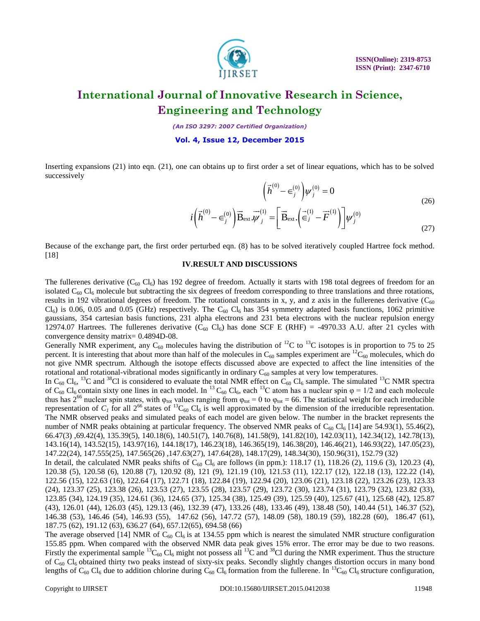

*(An ISO 3297: 2007 Certified Organization)*

**Vol. 4, Issue 12, December 2015**

Inserting expansions (21) into eqn. (21), one can obtains up to first order a set of linear equations, which has to be solved successively

$$
\left(\vec{h}^{(0)} - \epsilon_j^{(0)}\right) \psi_j^{(0)} = 0
$$
\n
$$
\vec{h}^{(0)} - \epsilon_j^{(0)}\right) \vec{B} = \vec{h}^{(1)} - \left[\vec{B} - \left(\vec{h}^{(1)} - \vec{F}^{(1)}\right)\right] \psi_j^{(0)} \tag{26}
$$

$$
\left(\begin{array}{cc} \mu & -\epsilon_j \end{array}\right)\psi_j = 0
$$
\n
$$
i\left(\vec{h}^{(0)} - \epsilon_j^{(0)}\right)\vec{B}_{\text{ext}}.\vec{\psi}_j^{(1)} = \left[\vec{B}_{\text{ext}}.\left(\vec{\epsilon}_j^{(1)} - \vec{F}^{(1)}\right)\right]\psi_j^{(0)}
$$
\n(27)

Because of the exchange part, the first order perturbed eqn. (8) has to be solved iteratively coupled Hartree fock method. [18]

### **IV.RESULT AND DISCUSSIONS**

The fullerenes derivative  $(C_{60} CI_6)$  has 192 degree of freedom. Actually it starts with 198 total degrees of freedom for an isolated  $C_{60}$  Cl<sub>6</sub> molecule but subtracting the six degrees of freedom corresponding to three translations and three rotations, results in 192 vibrational degrees of freedom. The rotational constants in x, y, and z axis in the fullerenes derivative  $(C_{60}$  $Cl_6$ ) is 0.06, 0.05 and 0.05 (GHz) respectively. The C<sub>60</sub> Cl<sub>6</sub> has 354 symmetry adapted basis functions, 1062 primitive gaussians, 354 cartesian basis functions, 231 alpha electrons and 231 beta electrons with the nuclear repulsion energy 12974.07 Hartrees. The fullerenes derivative (C<sub>60</sub> Cl<sub>6</sub>) has done SCF E (RHF) = -4970.33 A.U. after 21 cycles with convergence density matrix= 0.4894D-08.

Generally NMR experiment, any  $C_{60}$  molecules having the distribution of <sup>12</sup>C to <sup>13</sup>C isotopes is in proportion to 75 to 25 percent. It is interesting that about more than half of the molecules in  $C_{60}$  samples experiment are  $^{12}C_{60}$  molecules, which do not give NMR spectrum. Although the isotope effects discussed above are expected to affect the line intensities of the rotational and rotational-vibrational modes significantly in ordinary  $C_{60}$  samples at very low temperatures.

In C<sub>60</sub> Cl<sub>6</sub>, <sup>13</sup>C and <sup>38</sup>Cl is considered to evaluate the total NMR effect on C<sub>60</sub> Cl<sub>6</sub> sample. The simulated <sup>13</sup>C NMR spectra of C<sub>60</sub> Cl<sub>6</sub> contain sixty one lines in each model. In <sup>13</sup> C<sub>60</sub> Cl<sub>6</sub>, each <sup>13</sup>C atom has a nuclear spin  $\varphi = 1/2$  and each molecule thus has  $2^{66}$  nuclear spin states, with  $\varphi_{tot}$  values ranging from  $\varphi_{tot} = 0$  to  $\varphi_{tot} = 66$ . The statistical weight for each irreducible representation of  $C_I$  for all  $2^{66}$  states of <sup>13</sup>C<sub>60</sub> Cl<sub>6</sub> is well approximated by the dimension of the irreducible representation. The NMR observed peaks and simulated peaks of each model are given below. The number in the bracket represents the number of NMR peaks obtaining at particular frequency. The observed NMR peaks of  $C_{60}$  Cl<sub>6</sub> [14] are 54.93(1), 55.46(2), 66.47(3) ,69.42(4), 135.39(5), 140.18(6), 140.51(7), 140.76(8), 141.58(9), 141.82(10), 142.03(11), 142.34(12), 142.78(13), 143.16(14), 143.52(15), 143.97(16), 144.18(17), 146.23(18), 146.365(19), 146.38(20), 146.46(21), 146.93(22), 147.05(23), 147.22(24), 147.555(25), 147.565(26) ,147.63(27), 147.64(28), 148.17(29), 148.34(30), 150.96(31), 152.79 (32)  $\left\{\tilde{h}^{(0)} - \epsilon_{ij}^{(0)}\right\} \left[\tilde{q}_i^{(0)} - \epsilon_{ij}^{(0)}\right] \mathbf{B}_{\text{cut}} \left[\tilde{q}_i^{(0)} - \epsilon_{ij}^{(0)}\right] \mathbf{B}_{\text{cut}} \left[\tilde{q}_i^{(0)} - \tilde{q}_i^{(0)}\right] \mathbf{B}_{\text{cut}} \left[\tilde{q}_i^{(0)} - \tilde{q}_i^{(0)}\right] \mathbf{B}_{\text{cut}} \left[\tilde{q}_i^{(0)} - \tilde{q}_i^{(0)}\right] \mathbf{B}_{\text{cut}} \left$ 

In detail, the calculated NMR peaks shifts of  $C_{60}$  Cl<sub>6</sub> are follows (in ppm.): 118.17 (1), 118.26 (2), 119.6 (3), 120.23 (4), 120.38 (5), 120.58 (6), 120.88 (7), 120.92 (8), 121 (9), 121.19 (10), 121.53 (11), 122.17 (12), 122.18 (13), 122.22 (14), 122.56 (15), 122.63 (16), 122.64 (17), 122.71 (18), 122.84 (19), 122.94 (20), 123.06 (21), 123.18 (22), 123.26 (23), 123.33 (24), 123.37 (25), 123.38 (26), 123.53 (27), 123.55 (28), 123.57 (29), 123.72 (30), 123.74 (31), 123.79 (32), 123.82 (33), 123.85 (34), 124.19 (35), 124.61 (36), 124.65 (37), 125.34 (38), 125.49 (39), 125.59 (40), 125.67 (41), 125.68 (42), 125.87 (43), 126.01 (44), 126.03 (45), 129.13 (46), 132.39 (47), 133.26 (48), 133.46 (49), 138.48 (50), 140.44 (51), 146.37 (52), 146.38 (53), 146.46 (54), 146.93 (55), 147.62 (56), 147.72 (57), 148.09 (58), 180.19 (59), 182.28 (60), 186.47 (61), 187.75 (62), 191.12 (63), 636.27 (64), 657.12(65), 694.58 (66)

The average observed [14] NMR of  $C_{60}$  Cl<sub>6</sub> is at 134.55 ppm which is nearest the simulated NMR structure configuration 155.85 ppm. When compared with the observed NMR data peak gives 15% error. The error may be due to two reasons. Firstly the experimental sample  ${}^{13}C_{60}$  Cl<sub>6</sub> might not possess all  ${}^{13}C$  and  ${}^{38}C1$  during the NMR experiment. Thus the structure of  $C_{60}$  Cl<sub>6</sub> obtained thirty two peaks instead of sixty-six peaks. Secondly slightly changes distortion occurs in many bond<br>lengths of  $C_{60}$  Cl<sub>6</sub> due to addition chlorine during  $C_{60}$  Cl<sub>6</sub> formation from the ful